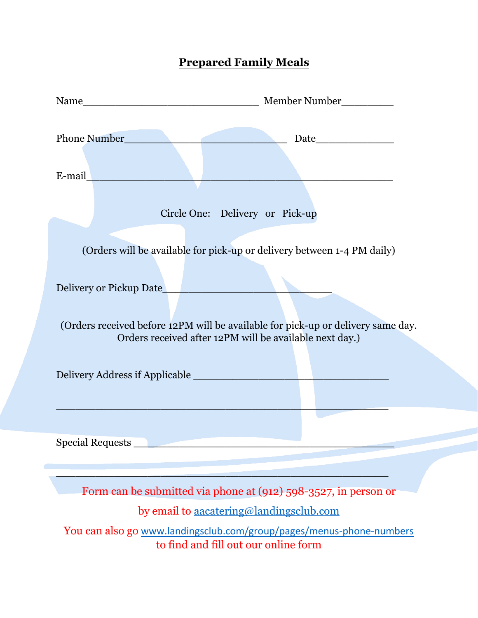# **Prepared Family Meals**

| E-mail |                                                                                                                                                                        |
|--------|------------------------------------------------------------------------------------------------------------------------------------------------------------------------|
|        | Circle One: Delivery or Pick-up<br>(Orders will be available for pick-up or delivery between 1-4 PM daily)                                                             |
|        | Delivery or Pickup Date<br>(Orders received before 12PM will be available for pick-up or delivery same day.<br>Orders received after 12PM will be available next day.) |
|        |                                                                                                                                                                        |
|        |                                                                                                                                                                        |
|        | Form can be submitted via phone at (912) 598-3527, in person or                                                                                                        |
|        | by email to aacatering@landingsclub.com                                                                                                                                |
|        | You can also go www.landingsclub.com/group/pages/menus-phone-numbers<br>to find and fill out our online form                                                           |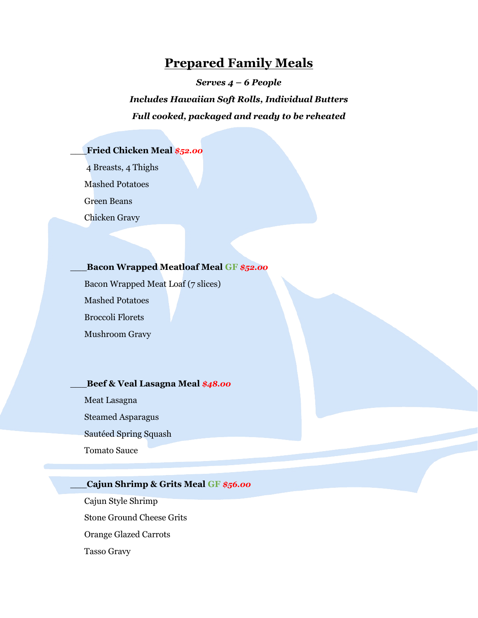### **Prepared Family Meals**

*Serves 4 – 6 People* 

## *Includes Hawaiian Soft Rolls, Individual Butters Full cooked, packaged and ready to be reheated*

#### \_\_\_**Fried Chicken Meal** *\$52.00*

4 Breasts, 4 Thighs

Mashed Potatoes

Green Beans

Chicken Gravy

#### \_\_\_**Bacon Wrapped Meatloaf Meal GF** *\$52.00*

Bacon Wrapped Meat Loaf (7 slices) Mashed Potatoes Broccoli Florets Mushroom Gravy

#### \_\_\_**Beef & Veal Lasagna Meal** *\$48.00*

Meat Lasagna

Steamed Asparagus

Sautéed Spring Squash

Tomato Sauce

#### \_\_\_**Cajun Shrimp & Grits Meal GF** *\$56.00*

Cajun Style Shrimp Stone Ground Cheese Grits Orange Glazed Carrots Tasso Gravy